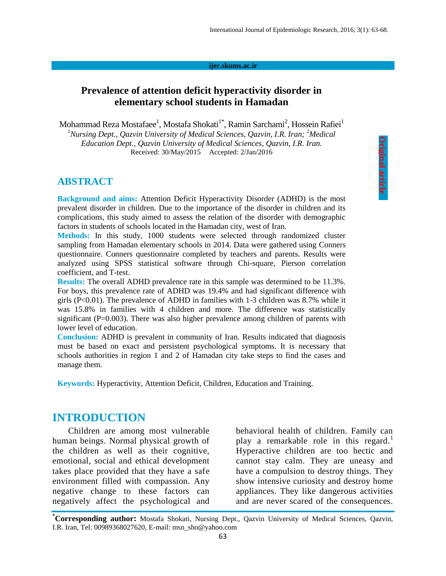#### **ijer.skums.ac.ir**

### **Prevalence of attention deficit hyperactivity disorder in elementary school students in Hamadan**

Mohammad Reza Mostafaee $^{\rm l}$ , Mostafa Shokati $^{\rm l^*}$ , Ramin Sarchami $^{\rm 2}$ , Hossein Rafiei $^{\rm l}$ <sup>1</sup>Nursing Dept., Qazvin University of Medical Sciences, Qazvin, I.R. Iran; <sup>2</sup>Medical *Education Dept., Qazvin University of Medical Sciences, Qazvin, I.R. Iran.*

Received: 30/May/2015 Accepted: 2/Jan/2016

#### **ABSTRACT**

**Background and aims:** Attention Deficit Hyperactivity Disorder (ADHD) is the most prevalent disorder in children. Due to the importance of the disorder in children and its complications, this study aimed to assess the relation of the disorder with demographic factors in students of schools located in the Hamadan city, west of Iran.

**Methods:** In this study, 1000 students were selected through randomized cluster sampling from Hamadan elementary schools in 2014. Data were gathered using Conners questionnaire. Conners questionnaire completed by teachers and parents. Results were analyzed using SPSS statistical software through Chi-square, Pierson correlation coefficient, and T-test.

**Results:** The overall ADHD prevalence rate in this sample was determined to be 11.3%. For boys, this prevalence rate of ADHD was 19.4% and had significant difference with girls (P<0.01). The prevalence of ADHD in families with 1-3 children was 8.7% while it was 15.8% in families with 4 children and more. The difference was statistically significant  $(P=0.003)$ . There was also higher prevalence among children of parents with lower level of education.

**Conclusion:** ADHD is prevalent in community of Iran. Results indicated that diagnosis must be based on exact and persistent psychological symptoms. It is necessary that schools authorities in region 1 and 2 of Hamadan city take steps to find the cases and manage them.

**Keywords:** Hyperactivity, Attention Deficit, Children, Education and Training.

### **INTRODUCTION**

Children are among most vulnerable human beings. Normal physical growth of the children as well as their cognitive, emotional, social and ethical development takes place provided that they have a safe environment filled with compassion. Any negative change to these factors can negatively affect the psychological and

behavioral health of children. Family can play a remarkable role in this regard.<sup>1</sup> Hyperactive children are too hectic and cannot stay calm. They are uneasy and have a compulsion to destroy things. They show intensive curiosity and destroy home appliances. They like dangerous activities and are never scared of the consequences.

**\*Corresponding author:** Mostafa Shokati, Nursing Dept., Qazvin University of Medical Sciences, Qazvin, I.R. Iran, Tel: 00989368027620, E-mail: msn\_sho@yahoo.com 63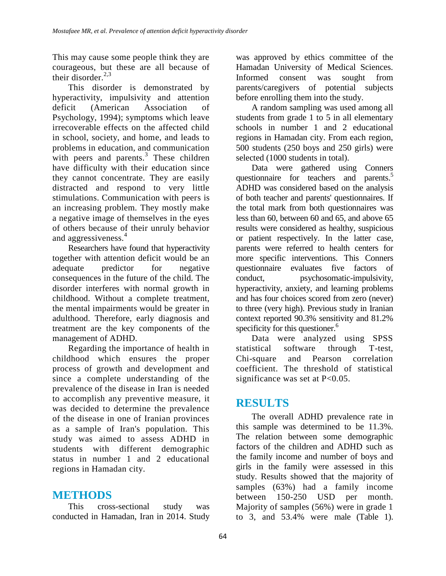This may cause some people think they are courageous, but these are all because of their disorder. $2,3$ 

This disorder is demonstrated by hyperactivity, impulsivity and attention deficit (American Association of Psychology, 1994); symptoms which leave irrecoverable effects on the affected child in school, society, and home, and leads to problems in education, and communication with peers and parents. $3$  These children have difficulty with their education since they cannot concentrate. They are easily distracted and respond to very little stimulations. Communication with peers is an increasing problem. They mostly make a negative image of themselves in the eyes of others because of their unruly behavior and aggressiveness.<sup>4</sup>

Researchers have found that hyperactivity together with attention deficit would be an adequate predictor for negative consequences in the future of the child. The disorder interferes with normal growth in childhood. Without a complete treatment, the mental impairments would be greater in adulthood. Therefore, early diagnosis and treatment are the key components of the management of ADHD.

Regarding the importance of health in childhood which ensures the proper process of growth and development and since a complete understanding of the prevalence of the disease in Iran is needed to accomplish any preventive measure, it was decided to determine the prevalence of the disease in one of Iranian provinces as a sample of Iran's population. This study was aimed to assess ADHD in students with different demographic status in number 1 and 2 educational regions in Hamadan city.

## **METHODS**

This cross-sectional study was conducted in Hamadan, Iran in 2014. Study was approved by ethics committee of the Hamadan University of Medical Sciences. Informed consent was sought from parents/caregivers of potential subjects before enrolling them into the study.

A random sampling was used among all students from grade 1 to 5 in all elementary schools in number 1 and 2 educational regions in Hamadan city. From each region, 500 students (250 boys and 250 girls) were selected (1000 students in total).

Data were gathered using Conners questionnaire for teachers and parents.<sup>5</sup> ADHD was considered based on the analysis of both teacher and parents' questionnaires. If the total mark from both questionnaires was less than 60, between 60 and 65, and above 65 results were considered as healthy, suspicious or patient respectively. In the latter case, parents were referred to health centers for more specific interventions. This Conners questionnaire evaluates five factors of conduct, psychosomatic-impulsivity, hyperactivity, anxiety, and learning problems and has four choices scored from zero (never) to three (very high). Previous study in Iranian context reported 90.3% sensitivity and 81.2% specificity for this questioner.<sup>6</sup>

Data were analyzed using SPSS statistical software through T-test, Chi-square and Pearson correlation coefficient. The threshold of statistical significance was set at  $P<0.05$ .

# **RESULTS**

The overall ADHD prevalence rate in this sample was determined to be 11.3%. The relation between some demographic factors of the children and ADHD such as the family income and number of boys and girls in the family were assessed in this study. Results showed that the majority of samples (63%) had a family income between 150-250 USD per month. Majority of samples (56%) were in grade 1 to 3, and 53.4% were male (Table 1).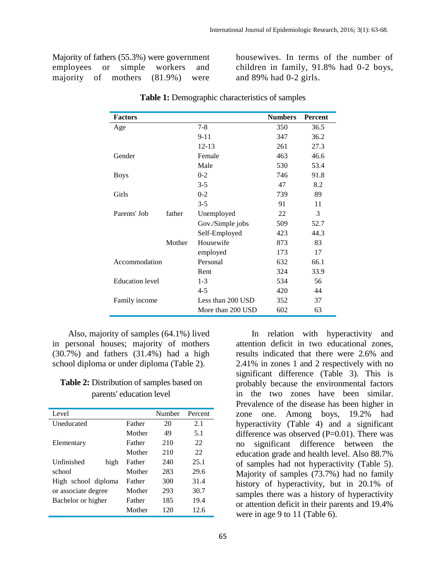Majority of fathers (55.3%) were government employees or simple workers and majority of mothers (81.9%) were housewives. In terms of the number of children in family, 91.8% had 0-2 boys, and 89% had 0-2 girls.

| <b>Factors</b>         |        |                   | <b>Numbers</b> | <b>Percent</b> |
|------------------------|--------|-------------------|----------------|----------------|
| Age                    |        | $7 - 8$           | 350            | 36.5           |
|                        |        | $9 - 11$          | 347            | 36.2           |
|                        |        | $12 - 13$         | 261            | 27.3           |
| Gender                 |        | Female            | 463            | 46.6           |
|                        |        | Male              | 530            | 53.4           |
| <b>Boys</b>            |        | $0 - 2$           | 746            | 91.8           |
|                        |        | $3 - 5$           | 47             | 8.2            |
| Girls                  |        | $0 - 2$           | 739            | 89             |
|                        |        | $3 - 5$           | 91             | 11             |
| Parents' Job           | father | Unemployed        | 22             | 3              |
|                        |        | Gov./Simple jobs  | 509            | 52.7           |
|                        |        | Self-Employed     | 423            | 44.3           |
|                        | Mother | Housewife         | 873            | 83             |
|                        |        | employed          | 173            | 17             |
| Accommodation          |        | Personal          | 632            | 66.1           |
|                        |        | Rent              | 324            | 33.9           |
| <b>Education</b> level |        | $1 - 3$           | 534            | 56             |
|                        |        | $4 - 5$           | 420            | 44             |
| Family income          |        | Less than 200 USD | 352            | 37             |
|                        |        | More than 200 USD | 602            | 63             |

**Table 1:** Demographic characteristics of samples

Also, majority of samples (64.1%) lived in personal houses; majority of mothers (30.7%) and fathers (31.4%) had a high school diploma or under diploma (Table 2).

#### **Table 2:** Distribution of samples based on parents' education level

| Level               |        | Number | Percent |
|---------------------|--------|--------|---------|
| <b>Uneducated</b>   | Father | 20     | 2.1     |
|                     | Mother | 49     | 5.1     |
| Elementary          | Father | 210    | 22      |
|                     | Mother | 210    | 22      |
| Unfinished<br>high  | Father | 240    | 25.1    |
| school              | Mother | 283    | 29.6    |
| High school diploma | Father | 300    | 31.4    |
| or associate degree | Mother | 293    | 30.7    |
| Bachelor or higher  | Father | 185    | 19.4    |
|                     | Mother | 120    | 12.6    |

In relation with hyperactivity and attention deficit in two educational zones, results indicated that there were 2.6% and 2.41% in zones 1 and 2 respectively with no significant difference (Table 3). This is probably because the environmental factors in the two zones have been similar. Prevalence of the disease has been higher in zone one. Among boys, 19.2% had hyperactivity (Table 4) and a significant difference was observed  $(P=0.01)$ . There was no significant difference between the education grade and health level. Also 88.7% of samples had not hyperactivity (Table 5). Majority of samples (73.7%) had no family history of hyperactivity, but in 20.1% of samples there was a history of hyperactivity or attention deficit in their parents and 19.4% were in age 9 to 11 (Table 6).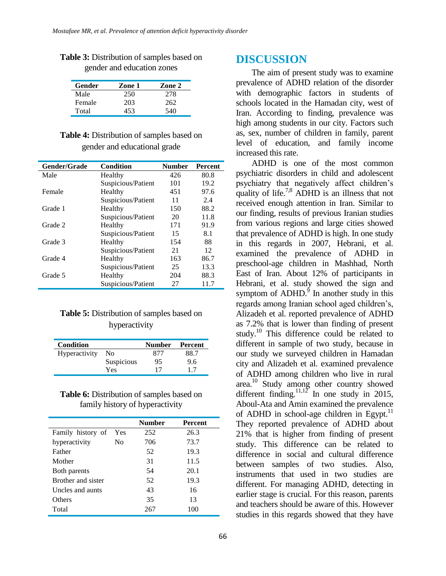| Gender | Zone 1 | Zone 2 |
|--------|--------|--------|
| Male   | 250    | 278    |
| Female | 203    | 262    |
| Total  | 453    | 540    |

**Table 3:** Distribution of samples based on gender and education zones

#### **Table 4:** Distribution of samples based on gender and educational grade

| Gender/Grade | <b>Condition</b>   | <b>Number</b> | <b>Percent</b> |
|--------------|--------------------|---------------|----------------|
| Male         | Healthy            | 426           | 80.8           |
|              | Suspicious/Patient | 101           | 19.2           |
| Female       | Healthy            | 451           | 97.6           |
|              | Suspicious/Patient | 11            | 2.4            |
| Grade 1      | Healthy            | 150           | 88.2           |
|              | Suspicious/Patient | 20            | 11.8           |
| Grade 2      | Healthy            | 171           | 91.9           |
|              | Suspicious/Patient | 15            | 8.1            |
| Grade 3      | Healthy            | 154           | 88             |
|              | Suspicious/Patient | 21            | 12             |
| Grade 4      | Healthy            | 163           | 86.7           |
|              | Suspicious/Patient | 25            | 13.3           |
| Grade 5      | Healthy            | 204           | 88.3           |
|              | Suspicious/Patient | 27            | 11.7           |

#### **Table 5:** Distribution of samples based on hyperactivity

| Condition     |            | <b>Number</b> | Percent |
|---------------|------------|---------------|---------|
| Hyperactivity | No         | 877           | 88.7    |
|               | Suspicious | 95            | 9.6     |
|               | Yes        | 17            | 17      |

| <b>Table 6:</b> Distribution of samples based on |
|--------------------------------------------------|
| family history of hyperactivity                  |

|                    |     | <b>Number</b> | <b>Percent</b> |
|--------------------|-----|---------------|----------------|
| Family history of  | Yes | 252           | 26.3           |
| hyperactivity      | Nο  | 706           | 73.7           |
| Father             |     | 52            | 19.3           |
| Mother             |     | 31            | 11.5           |
| Both parents       |     | 54            | 20.1           |
| Brother and sister |     | 52            | 19.3           |
| Uncles and aunts   |     | 43            | 16             |
| Others             |     | 35            | 13             |
| Total              |     | 267           | 100            |

### **DISCUSSION**

The aim of present study was to examine prevalence of ADHD relation of the disorder with demographic factors in students of schools located in the Hamadan city, west of Iran. According to finding, prevalence was high among students in our city. Factors such as, sex, number of children in family, parent level of education, and family income increased this rate.

ADHD is one of the most common psychiatric disorders in child and adolescent psychiatry that negatively affect children's quality of life.<sup>7,8</sup> ADHD is an illness that not received enough attention in Iran. Similar to our finding, results of previous Iranian studies from various regions and large cities showed that prevalence of ADHD is high. In one study in this regards in 2007, Hebrani, et al. examined the prevalence of ADHD in preschool-age children in Mashhad, North East of Iran. About 12% of participants in Hebrani, et al. study showed the sign and symptom of  $ADHD$ .<sup>9</sup> In another study in this regards among Iranian school aged children's, Alizadeh et al. reported prevalence of ADHD as 7.2% that is lower than finding of present study.<sup>10</sup> This difference could be related to different in sample of two study, because in our study we surveyed children in Hamadan city and Alizadeh et al. examined prevalence of ADHD among children who live in rural area.<sup>10</sup> Study among other country showed different finding.<sup>11,12</sup> In one study in 2015, Aboul-Ata and Amin examined the prevalence of ADHD in school-age children in Egypt. $11$ They reported prevalence of ADHD about 21% that is higher from finding of present study. This difference can be related to difference in social and cultural difference between samples of two studies. Also, instruments that used in two studies are different. For managing ADHD, detecting in earlier stage is crucial. For this reason, parents and teachers should be aware of this. However studies in this regards showed that they have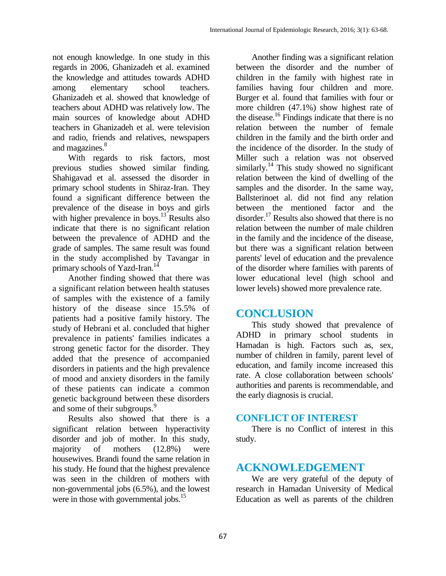not enough knowledge. In one study in this regards in 2006, Ghanizadeh et al. examined the knowledge and attitudes towards ADHD among elementary school teachers. Ghanizadeh et al. showed that knowledge of teachers about ADHD was relatively low. The main sources of knowledge about ADHD teachers in Ghanizadeh et al. were television and radio, friends and relatives, newspapers and magazines. 8

With regards to risk factors, most previous studies showed similar finding. Shahigavad et al. assessed the disorder in primary school students in Shiraz-Iran. They found a significant difference between the prevalence of the disease in boys and girls with higher prevalence in boys.<sup>13</sup> Results also indicate that there is no significant relation between the prevalence of ADHD and the grade of samples. The same result was found in the study accomplished by Tavangar in primary schools of Yazd-Iran.<sup>14</sup>

Another finding showed that there was a significant relation between health statuses of samples with the existence of a family history of the disease since 15.5% of patients had a positive family history. The study of Hebrani et al. concluded that higher prevalence in patients' families indicates a strong genetic factor for the disorder. They added that the presence of accompanied disorders in patients and the high prevalence of mood and anxiety disorders in the family of these patients can indicate a common genetic background between these disorders and some of their subgroups.<sup>9</sup>

Results also showed that there is a significant relation between hyperactivity disorder and job of mother. In this study, majority of mothers (12.8%) were housewives. Brandi found the same relation in his study. He found that the highest prevalence was seen in the children of mothers with non-governmental jobs (6.5%), and the lowest were in those with governmental jobs.<sup>15</sup>

Another finding was a significant relation between the disorder and the number of children in the family with highest rate in families having four children and more. Burger et al. found that families with four or more children (47.1%) show highest rate of the disease. 16 Findings indicate that there is no relation between the number of female children in the family and the birth order and the incidence of the disorder. In the study of Miller such a relation was not observed similarly.<sup>14</sup> This study showed no significant relation between the kind of dwelling of the samples and the disorder. In the same way, Ballsterinoet al. did not find any relation between the mentioned factor and the disorder.<sup>17</sup> Results also showed that there is no relation between the number of male children in the family and the incidence of the disease, but there was a significant relation between parents' level of education and the prevalence of the disorder where families with parents of lower educational level (high school and lower levels) showed more prevalence rate.

### **CONCLUSION**

This study showed that prevalence of ADHD in primary school students in Hamadan is high. Factors such as, sex, number of children in family, parent level of education, and family income increased this rate. A close collaboration between schools' authorities and parents is recommendable, and the early diagnosis is crucial.

### **CONFLICT OF INTEREST**

There is no Conflict of interest in this study.

## **ACKNOWLEDGEMENT**

We are very grateful of the deputy of research in Hamadan University of Medical Education as well as parents of the children